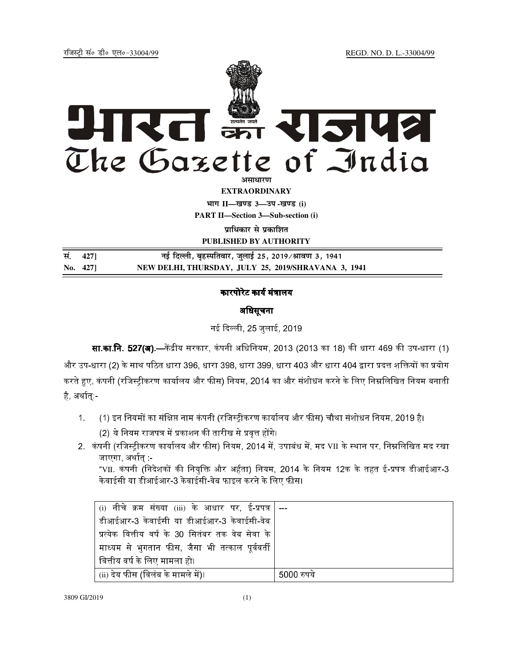REGD. NO. D. L.-33004/99

रजिस्टी सं० डी० एल०-33004/99



**EXTRAORDINARY** भाग II-खण्ड 3-उप-खण्ड (i) **PART II-Section 3-Sub-section (i)** 

प्राधिकार से प्रकाशित

PUBLISHED BY AUTHORITY

| सं. 4271 | नई दिल्ली, बृहस्पतिवार, जुलाई 25, 2019/श्रावण 3, 1941 |
|----------|-------------------------------------------------------|
| No. 427  | NEW DELHI, THURSDAY, JULY 25, 2019/SHRAVANA 3, 1941   |

## कारपोरेट कार्य मंत्रालय

## अधिसूचना

नई दिल्ली, 25 जुलाई, 2019

**सा.का.नि. 527(अ).—**केंद्रीय सरकार, कंपनी अधिनियम, 2013 (2013 का 18) की धारा 469 की उप-धारा (1) और उप-धारा (2) के साथ पठित धारा 396, धारा 398, धारा 399, धारा 403 और धारा 404 द्वारा प्रदत्त शक्तियों का प्रयोग करते हुए, कंपनी (रजिस्ट्रीकरण कार्यालय और फीस) नियम, 2014 का और संशोधन करने के लिए निम्नलिखित नियम बनाती है अर्थात् -

- (1) इन नियमों का संक्षिप्त नाम कंपनी (रजिस्ट्रीकरण कार्यालय और फीस) चौथा संशोधन नियम, 2019 है।  $\mathbf{1}$ 
	- (2) ये नियम राजपत्र में प्रकाशन की तारीख से प्रवृत्त होंगे।
- 2. कंपनी (रजिस्ट्रीकरण कार्यालय और फीस) नियम, 2014 में, उपाबंध में, मद VII के स्थान पर, निम्नलिखित मद रखा जाएगा, अर्थात् :-

"VII. कंपनी (निदेशकों की नियुक्ति और अर्हता) नियम, 2014 के नियम 12क के तहत ई-प्रपत्र डीआईआर-3 केवाईसी या डीआईआर-3 केवाईसी-वेब फाइल करने के लिए फीस।

| (i)  नीचे  क्रम  संख्या  (iii)  के  आधार  पर,  ई-प्रपत्र   --- |            |
|----------------------------------------------------------------|------------|
| डीआईआर-3 केवाईसी या डीआईआर-3 केवाईसी-वेब                       |            |
| प्रत्येक वित्तीय वर्ष के 30 सितंबर तक वेब सेवा के $\mid$       |            |
| माध्यम से भुगतान फीस, जैसा भी तत्काल पूर्ववर्ती                |            |
| वित्तीय वर्ष के लिए मामला हो।                                  |            |
| (ii) देय फीस (विलंब के मामले में)।                             | 5000 रुपये |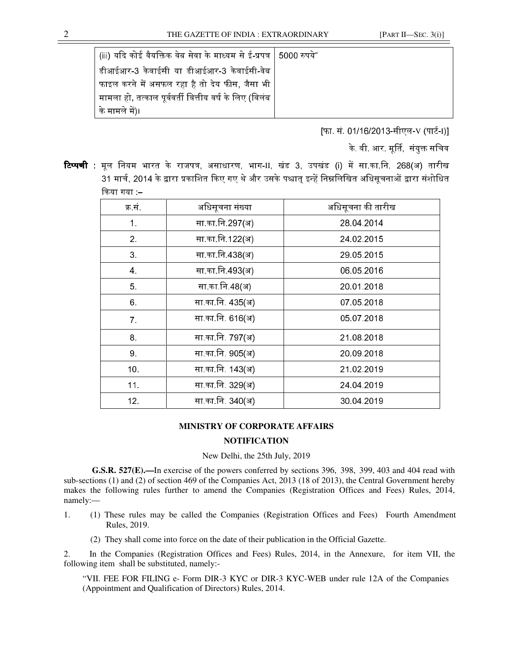| (iii) यदि कोई वैयक्तिक वेब सेवा के माध्यम से ई-प्रपत्र   5000 रुपये" |  |
|----------------------------------------------------------------------|--|
| डीआईआर-3 केवाईसी या डीआईआर-3 केवाईसी-वेब                             |  |
| फाइल करने में असफल रहा है तो देय फीस, जैसा भी $\mid$                 |  |
| ेमामला हो, तत्काल पूर्ववर्ती वित्तीय वर्ष के लिए (विलंब              |  |
| <sup>।</sup> के मामले में)।                                          |  |

[फा. सं. 01/16/2013-सीएल-V (पार्ट-I)]

के. वी. आर. मूर्ति, संयुक्त सचिव

**टिप्पणी :** मूल नियम भारत के राजपत्र, असाधारण, भाग-II, खंड 3, उपखंड (i) में सा.का.नि. 268(अ) तारीख 31 मार्च, 2014 के द्वारा प्रकाशित किए गए थे और उसके पश्चात इन्हें निम्नलिखित अधिसचनाओं द्वारा संशोधित किया गया :–

| क्र सं          | अधिसूचना संख्या  | अधिसूचना की तारीख |
|-----------------|------------------|-------------------|
| 1 <sub>1</sub>  | सा का नि 297(अ)  | 28 04 2014        |
| 2 <sub>1</sub>  | सा का नि 122(अ)  | 24 02 2015        |
| 3 <sub>1</sub>  | सा का नि 438(अ)  | 29 05 20 15       |
| $\overline{4}$  | सा का नि 493(अ)  | 06 05 2016        |
| 5 <sub>1</sub>  | सा का नि 48(अ)   | 20 01 2018        |
| 6.              | सा का नि. 435(अ) | 07 05 2018        |
| 7 <sub>1</sub>  | सा का नि. 616(अ) | 05 07 2018        |
| 8 <sub>1</sub>  | सा का नि. 797(अ) | 21.08.2018        |
| 9.              | सा का नि. 905(अ) | 20 09 20 18       |
| 10 <sup>1</sup> | सा का नि. 143(अ) | 21 02 2019        |
| 11.             | सा का नि. 329(अ) | 24 04 2019        |
| 12.             | सा का नि. 340(अ) | 30 04 2019        |

## **MINISTRY OF CORPORATE AFFAIRS**

## **NOTIFICATION**

New Delhi, the 25th July, 2019

**G.S.R. 527(E).—**In exercise of the powers conferred by sections 396, 398, 399, 403 and 404 read with sub-sections (1) and (2) of section 469 of the Companies Act, 2013 (18 of 2013), the Central Government hereby makes the following rules further to amend the Companies (Registration Offices and Fees) Rules, 2014, namely:—

- 1. (1) These rules may be called the Companies (Registration Offices and Fees) Fourth Amendment Rules, 2019.
	- (2) They shall come into force on the date of their publication in the Official Gazette.

2. In the Companies (Registration Offices and Fees) Rules, 2014, in the Annexure, for item VII, the following item shall be substituted, namely:-

"VII. FEE FOR FILING e- Form DIR-3 KYC or DIR-3 KYC-WEB under rule 12A of the Companies (Appointment and Qualification of Directors) Rules, 2014.